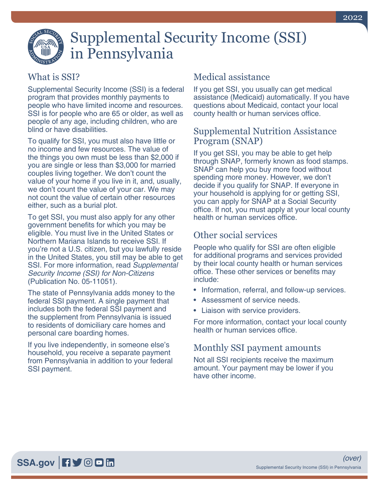

# Supplemental Security Income (SSI) in Pennsylvania

### What is SSI?

Supplemental Security Income (SSI) is a federal program that provides monthly payments to people who have limited income and resources. SSI is for people who are 65 or older, as well as people of any age, including children, who are blind or have disabilities.

To qualify for SSI, you must also have little or no income and few resources. The value of the things you own must be less than \$2,000 if you are single or less than \$3,000 for married couples living together. We don't count the value of your home if you live in it, and, usually, we don't count the value of your car. We may not count the value of certain other resources either, such as a burial plot.

To get SSI, you must also apply for any other government benefits for which you may be eligible. You must live in the United States or Northern Mariana Islands to receive SSI. If you're not a U.S. citizen, but you lawfully reside in the United States, you still may be able to get SSI. For more information, read *[Supplemental](https://www.ssa.gov/pubs/EN-05-11051.pdf)  [Security Income \(SSI\) for Non-Citizens](https://www.ssa.gov/pubs/EN-05-11051.pdf)* [\(Publication No. 05-11051\)](https://www.ssa.gov/pubs/EN-05-11051.pdf).

The state of Pennsylvania adds money to the federal SSI payment. A single payment that includes both the federal SSI payment and the supplement from Pennsylvania is issued to residents of domiciliary care homes and personal care boarding homes.

If you live independently, in someone else's household, you receive a separate payment from Pennsylvania in addition to your federal SSI payment.

## Medical assistance

If you get SSI, you usually can get medical assistance (Medicaid) automatically. If you have questions about Medicaid, contact your local county health or human services office.

#### Supplemental Nutrition Assistance Program (SNAP)

If you get SSI, you may be able to get help through SNAP, formerly known as food stamps. SNAP can help you buy more food without spending more money. However, we don't decide if you qualify for SNAP. If everyone in your household is applying for or getting SSI, you can apply for SNAP at a Social Security office. If not, you must apply at your local county health or human services office.

## Other social services

People who qualify for SSI are often eligible for additional programs and services provided by their local county health or human services office. These other services or benefits may include:

- Information, referral, and follow-up services.
- Assessment of service needs.
- Liaison with service providers.

For more information, contact your local county health or human services office.

#### Monthly SSI payment amounts

Not all SSI recipients receive the maximum amount. Your payment may be lower if you have other income.